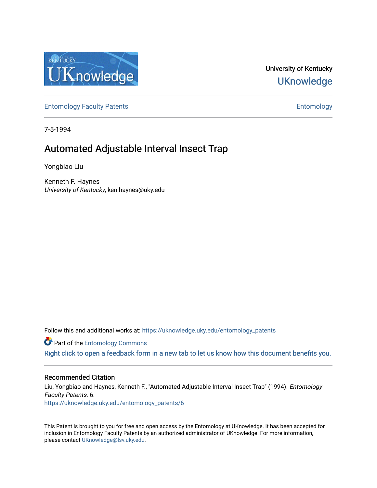

University of Kentucky **UKnowledge** 

[Entomology Faculty Patents](https://uknowledge.uky.edu/entomology_patents) **Entomology** 

7-5-1994

# Automated Adjustable Interval Insect Trap

Yongbiao Liu

Kenneth F. Haynes University of Kentucky, ken.haynes@uky.edu

Follow this and additional works at: [https://uknowledge.uky.edu/entomology\\_patents](https://uknowledge.uky.edu/entomology_patents?utm_source=uknowledge.uky.edu%2Fentomology_patents%2F6&utm_medium=PDF&utm_campaign=PDFCoverPages)

**Part of the Entomology Commons** 

[Right click to open a feedback form in a new tab to let us know how this document benefits you.](https://uky.az1.qualtrics.com/jfe/form/SV_9mq8fx2GnONRfz7)

# Recommended Citation

Liu, Yongbiao and Haynes, Kenneth F., "Automated Adjustable Interval Insect Trap" (1994). Entomology Faculty Patents. 6. [https://uknowledge.uky.edu/entomology\\_patents/6](https://uknowledge.uky.edu/entomology_patents/6?utm_source=uknowledge.uky.edu%2Fentomology_patents%2F6&utm_medium=PDF&utm_campaign=PDFCoverPages) 

This Patent is brought to you for free and open access by the Entomology at UKnowledge. It has been accepted for inclusion in Entomology Faculty Patents by an authorized administrator of UKnowledge. For more information, please contact [UKnowledge@lsv.uky.edu.](mailto:UKnowledge@lsv.uky.edu)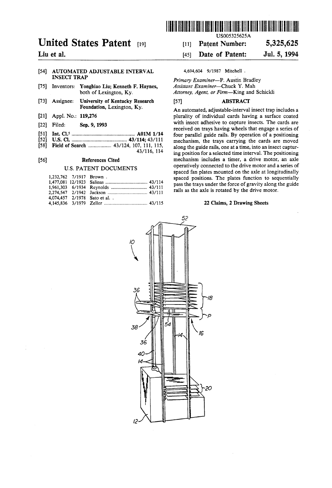

# United States Patent  $[19]$  [11] Patent Number: 5,325,625

# [54] AUTOMATED ADJUSTABLE INTERVAL 4,694,604 9/1987 Mitchell .<br>INSECT TRAP

- [75] Inventors: Yongbiao Liu; Kenneth F. Haynes, Assistant Examiner—Chuck Y. Mah<br>both of Lexington, Ky. Attorney, Agent, or Firm—King and
- [73] Assignee: University of Kentucky Research [57] ABSTRACT<br>Foundation, Lexington, Ky.
- 
- 
- 
- 
- 

| 1.232.762 7/1917 Brown. |                              |  |
|-------------------------|------------------------------|--|
|                         |                              |  |
|                         |                              |  |
|                         |                              |  |
|                         | 4,074,457 2/1978 Sato et al. |  |
|                         |                              |  |

# Liu et al. **Liu** et al. **Example 2018** 145] Date of Patent: Jul. 5, 1994

Primary Examiner-P. Austin Bradley Attorney, Agent, or Firm-King and Schickli

An automated, adjustable-interval insect trap includes a [21] Appl. No.: 119,276 plurality of individual cards having a surface coated [22] Filed: sap. 9' 1993 with insect adhesive to capture insects. The cards are received on trays having wheels that engage a series of [51] Int. Cl.5 ............................................. .. A01M 1/14 four parallel guide rails By operation of a positioning [52] US. Cl. ................................ .. 43/114; 43/111 mechanism, the 'rays carrying the cards are moved  $[569]$  Fig. 111, 115, along the guide rails, one at a time, into an insect capture  $-43/116$ , 114 ing position for a selected time interval. The positioning ing position for a selected time interval. The positioning [56] References Cited mechanism includes a timer, a drive motor, an axle U.S. PATENT DOCUMENTS operatively connected to the drive motor and a series of spaced fan plates mounted on the axle at longitudinally spaced positions. The plates function to sequentially pass the trays under the force of gravity along the guide rails as the axle is rotated by the drive motor.

## 22 Claims, 2 Drawing Sheets

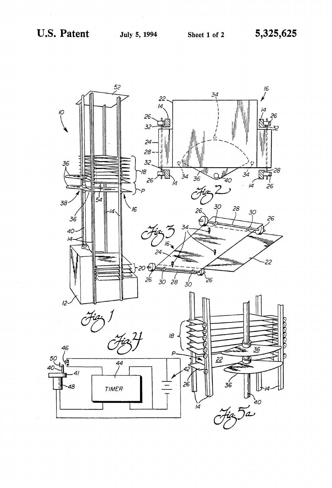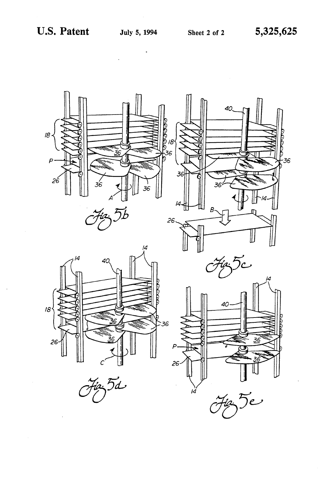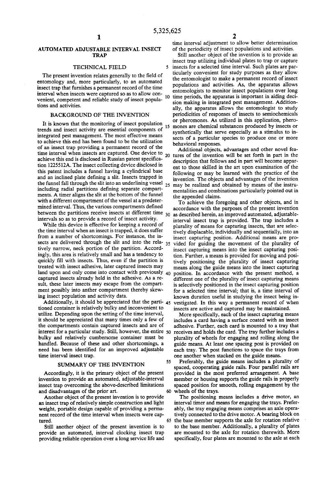$\ddot{\mathbf{S}}$ 

## AUTOMATED ADJUSTABLE INTERVAL INSECT .TRAP

## TECHNICAL FIELD

The present invention relates generally to the field of entomology and, more particularly, to an automated insect trap that furnishes a permanent record of the time interval when insects were captured so as to allow con venient, competent and reliable study of insect popula tions and activities.

# BACKGROUND OF THE INVENTION

It is known that the monitoring of insect population trends and insect activity are essential components of  $\frac{15}{2}$ integrated pest management. The most effective means to achieve this end has been found to be the utilization of an insect trap providing a permanent record of the achieve this end is disclosed in Russian patent specification 1225512A. The insect collecting device disclosed in this patent includes a funnel having a cylindrical base and an inclined plate defining a slit. Insects trapped in the funnel fall through the slit into an underlining vessel including radial partitions defining separate compartments. A timer aligns the slit at the bottom of the funnel with a different compartment of the vessel at a predeter mined interval. Thus, the various compartments defined between the partitions receive insects at different time 30 as described herein, an improved automated, adjustableintervals so as to provide a record of insect activity.

While this device is effective for keeping a record of the time interval when an insect is trapped, it does suffer from a number of shortcomings. For instance, the in sects are delivered through the slit and into the rela- 35 tively narrow, neck portion of the partition. Accord ingly, this area is relatively small and has a tendency to quickly fill with insects. Thus, even if the partition is treated with insect adhesive, later captured insects may land upon and only come into contact with previously  $_{40}$ captured insects already held in the adhesive. As a re sult, these later insects may escape from the compart ment possibly into anther compartment thereby skew ing insect population and activity data.

Additionally, it should be appreciated that the parti-  $45$ tioned container is relatively bulky and inconvenient to utilize. Depending upon the setting of the time interval, it should be appreciated that many times only a few of the compartments contain captured insects and are of interest for a particular study. Still, however, the entire 50 bulky and relatively cumbersome container must be handled. Because of these and other shortcomings, a need has been identified for an improved adjustable time interval insect trap.

### SUMMARY OF THE INVENTION

Accordingly, it is the primary object of the present invention to provide an automated, adjustable-interval insect trap overcoming the above-described limitations and disadvantages of the prior art.

Another object of the present invention is to provide an insect trap of relatively simple construction and light weight, portable design capable of providing a perma nent record of the time interval when insects were cap tured.

Still another object of the present invention is to provide an automated, interval clocking insect trap providing reliable operation over a long service life and time interval adjustment to allow better determination of the periodicity of insect populations and activities.

Still another object of the invention is to provide an insect trap utilizing individual plates to trap or capture insects for a selected time interval. Such plates are par ticularly convenient for study purposes as they allow the entomologist to make a permanent record of insect populations and activities. As, the apparatus allows entomologists to monitor insect populations over long time periods, the apparatus is important in aiding deci sion making in integrated pest management. Addition ally, the apparatus allows the entomologist to study periodicities of responses of insects to semiochemicals or pheromones. As utilized in this application, pheromones are chemical substances produced by insects or synthetically that serve especially as a stimulus to in sects of a particular species to produce one or more behavioral responses.

time interval when insects are captured. One device to 20 tures of the invention will be set forth in part in the Additional objects, advantages and other novel fea description that follows and in part will become appar ent to those skilled in the art upon examination of the following or may be learned with the practice of the invention. The objects and advantages of the invention may be realized and obtained by means of the instru mentalities and combinations particularly pointed out in the appended claims.

> To achieve the foregoing and other objects, and in accordance with the purposes of the present invention interval insect trap is provided. The trap includes a plurality of means for capturing insects, that are selec tively displacable, individually and sequentially, into an insect capturing position. Additional means are pro vided for guiding the movement of the plurality of insect capturing means into the insect capturing posi tion. Further, a means is provided for moving and posi tively positioning the plurality of insect capturing means along the guide means into the insect capturing position. In accordance with the present method, a different one of the plurality of insect capturing means is selectively positioned in the insect capturing position for a selected time interval; that is, a time interval of known duration useful in studying the insect being in vestigated. In this way a permanent record of when insects are active and captured may be maintained.

> More specifically, each of the insect capturing means includes a card having a surface coated with an insect adhesive. Further, each card is mounted to a tray that receives and holds the card. The tray further includes a plurality of wheels for engaging and rolling along the guide means. At least one spacing post is provided on each tray. The post functions to space the trays from one another when stacked on the guide means.

Preferably, the guide means includes a plurality of spaced, cooperating guide rails. Four parallel rails are provided in the most preferred arrangement. A base member or housing supports the guide rails in properly spaced position for smooth, rolling engagement by the wheels of the trays.

The positioning means includes a drive motor, an interval timer and means for engaging the trays. Prefer ably, the tray engaging means comprises an axle opera tively connected to the drive motor. A bearing block on the base member supports the axle for rotation relative to the base member. Additionally, a plurality of plates are mounted to the axle for rotation therewith. More specifically, four plates are mounted to the axle at each

55

65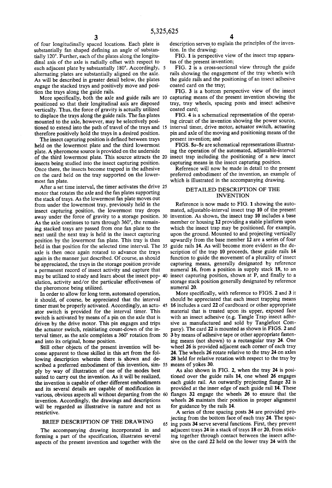of four longitudinally spaced locations. Each plate is substantially fan shaped defining an angle of substantially 120°. Further, each of the plates along the longitu dinal axis of the axle is radially offset with respect to each adjacent plate by substantially 180°. Accordingly, alternating plates are substantially aligned on the axle. As will be described in greater detail below, the plates engage the stacked trays and positively move and posi tion the trays along the guide rails.

More specifically, both the axle and guide rails are 10 positioned so that their longitudinal axis are disposed vertically. Thus, the force of gravity is actually utilized to displace the trays along the guide rails. The fan plates mounted to the axle, however, may be selectively posi therefore positively hold the trays in a desired position.

The insect capturing position is defined between trays held on the lowermost plate and the third lowermost plate. A pheromone source is provided on the underside of the third lowermost plate. This source attracts the insects being studied into the insect capturing position. Once there, the insects become trapped in the adhesive on the card held on the tray supported on the lower most fan plate.

After a set time interval, the timer activates the drive 25 motor that rotates the axle and the fan plates supporting the stack of trays. As the lowermost fan plate moves out from under the lowermost tray, previously held in the insect capturing position, the lowermost tray drops away under the force of gravity to a storage position. 30 As the axle continues to turn through 360°, the remain ing stacked trays are passed from one fan plate to the next until the next tray is held in the insect capturing position by the lowermost fan plate. This tray is then held in that position for the selected time interval. The 35 axle is then once again rotated to advance the trays again in the manner just described. Of course, as should be appreciated, the trays in the storage position provide a permanent record of insect activity and capture that may be utilized to study and learn about the insect pop ulation, activity and/or the particular effectiveness of the pheromone being utilized.

In order to allow for long term, automated operation, it should, of course, be appreciated that the interval timer must be properly activated. Accordingly, an actu-45 ator switch is provided for the interval timer. This switch is activated by means of a pin on the axle that is driven by the drive motor. This pin engages and trips the actuator switch, reinitiating count-down of the in terval timer, as the axle completes a 360° rotation from

and into its original, home position.<br>Still other objects of the present invention will become apparent to those skilled in this art from the following description wherein there is shown and de scribed a preferred embodiment of this invention, sim-55 ply by way of illustration of one of the modes best suited to carry out the invention. As it will be realized, the invention is capable of other different embodiments and its several details are capable of modification in various, obvious aspects all without departing from the invention. Accordingly, the drawings and descriptions will be regarded as illustrative in nature and not as restrictive.

### BRIEF DESCRIPTION OF THE DRAWING

The accompanying drawing incorporated in and forming a part of the specification, illustrates several aspects of the present invention and together with the description serves to explain the principles of the invention. In the drawing:

FIG. 1 is perspective view of the insect trap apparatus of the present invention;

FIG. 2 is a cross-sectional view through the guide rails showing the engagement of the tray wheels with the guide rails and the positioning of an insect adhesive coated card on the tray;

FIG. 3 is a bottom perspective view of the insect capturing means of the present invention showing the tray, tray wheels, spacing posts and insect adhesive coated card;

tioned to extend into the path of travel of the trays and 5 interval timer, drive motor, actuator switch, actuating FIG. 4 is a schematical representation of the operat ing circuit of the invention showing the power source, pin and axle of the moving and positioning means of the present invention; and

> FIGS. 5a-5e are schematical representations illustrating the operation of the automated, adjustable-interval insect trap including the positioning of a new insect capturing means in the insect capturing position.

Reference will now be made in detail to the present preferred embodiment of the invention, an example of which is illustrated in the accompanying drawing.

# DETAILED DESCRIPTION OF THE INVENTION

Reference is now made to FIG. 1 showing the auto mated, adjustable-interval insect trap 10 of the present invention. As shown, the insect trap 10 includes a base member or housing 12 providing a stable platform upon which the insect trap may be positioned, for example, upon the ground. Mounted to and projecting vertically upwardly from the base member 12 are a series of four guide rails 14. As will become more evident as the de scription of the trap 10 proceeds, these guide rails 14 function to guide the movement of a plurality of insect capturing means, generally designated by reference numeral 16, from a position in supply stack 18, to an insect capturing position, shown at P, and finally to a storage stack position generally designated by reference numeral 20.

More specifically, with reference to FIGS. 2 and 3 it should be appreciated that each insect trapping means 16 includes a card 22 of cardboard or other appropriate material that is treated upon its upper, exposed face with an insect adhesive (e.g. Tangle Trap insect adhe sive as manufactured and sold by Tanglefoot Com pany). The card 22 is mounted as shown in FIGS. 2 and 3 by means of adhesive tape or other appropriate fasten ing means (not shown) to a rectangular tray 24. One wheel 26 is provided adjacent each corner of each tray 24. The wheels 26 rotate relative to the tray 24 on axles 28 held for relative rotation with respect to the tray by means of yokes 30.

As also shown in FIG. 2, when the tray 24 is posi tioned over the guide rails 14, one wheel 26 engages each guide rail. An outwardly projecting flange 32 is provided at the inner edge of each guide rail 14. These flanges 32 engage the wheels 26 to ensure that the wheels 26 maintain their position in proper alignment for guidance by the rails 14.

A series of three spacing posts 34 are provided pro jecting from the bottom face of each tray 24. The spac ing posts 34 serve several functions. First, they prevent adjacent trays 24 in a stack of trays 18 or 20, from stick ing together through contact between the insect adhe sive on the card 22 held on the lower tray 24 with the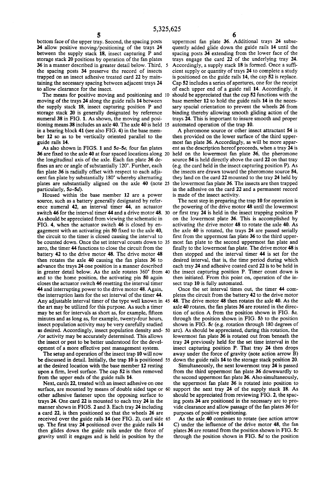bottom face of the upper tray. Second, the spacing posts 34 allow positive moving/positioning of the trays 24 between the supply stack 18, insect capturing P and storage stack 20 positions by operation of the fan plates 36 in a manner described in greater detail below. Third, the spacing posts 34 preserve the record of insects trapped on an insect adhesive treated card 22 by main taining the necessary spacing between adjacent trays 24 to allow clearance for the insect.

The means for positive moving and positioning and 10 moving of the trays 24 along the guide rails 14 between the supply stack 18, insect capturing position P and storage stack 20 is generally designated by reference numeral 38 in FIG. 1. As shown, the moving and posi tioning means 38 includes an axle 40. The axle 40 is held in a bearing block 41 (see also FIG. 4) in the base mem ber 12 so as to be vertically oriented parallel to the guide rails 14.

As also shown in FIGS. 1 and 5a-5e, four fan plates **36 are fixed to the axle 40 at four spaced locations along 20** the longitudinal axis of the axle. Each fan plate 36 de fines an arc or angle of substantially 120°. Further, each fan plate 36 is radially offset with respect to each adja cent fan plate by substantially 180° whereby alternating plates are substantially aligned on the axle 40 (note 25 particularly, 5a-5d).

Housed within the base member 12 are a power source, such as a battery generally designated by refer ence numeral 42, an interval timer 44, an actuator switch 46 for the interval timer 44 and a drive motor 48. 30 As should be appreciated from viewing the schematic in FIG. 4, when the actuator switch 46 is closed by en gagement with an activating pin 50 fixed to the axle 40, the circuit to the timer is closed causing the interval to be counted down. Once the set interval counts down to 35 zero, the timer 44 functions to close the circuit from the battery 42 to the drive motor 48. The drive motor 48 then rotates the axle 40 causing the fan plates 36 to advance the trays 24 one position in a manner described in greater detail below. As the axle rotates 360° from and to the home position, the activating pin 50 again closes the actuator switch 46 resetting the interval timer 44 and interrupting power to the drive motor 48. Again, the interruption lasts for the set interval of the timer 44. Any adjustable interval timer of the type well known in 45 48. The drive motor 48 then rotates the axle 40. As the the art may be utilized for this purpose. As such a timer may be set for intervals as short as, for example, fifteen minutes and as long as, for example, twenty-four hours, insect population activity may be very carefully studied as desired. Accordingly, insect population density and- 50 /or activity may be accurately determined. This allows the insect or pest to be better understood for the devel opment of a more effective pest management system.

The setup and operation of the insect trap 10 will now be discussed in detail. Initially, the trap 10 is positioned 55 at the desired location with the base member 12 resting upon a firm, level surface. The cap 52 is then removed from the upper ends of the guide rails 14.

Next, cards 22, treated with an insect adhesive on one surface, are mounted by means of double sided tape or 60 other adhesive fastener upon the opposing surface to trays 24. One card 22 is mounted to each tray 24 in the manner shown in FIGS. 2 and 3. Each tray 24 including a card 22, is then positioned so that the wheels 26 are received over the guide rails 14 (see FIG. 2), card side 65 up. The first tray 24 positioned over the guide rails 14 then glides down the guide rails under the force of gravity until it engages and is held in position by the

uppermost fan plate 36. Additional trays 24 subse quently added glide down the guide rails 14 until the spacing posts 34 extending from the lower face of the trays engage the card 22 of the underlying tray 24. Accordingly, a supply stack 18 is formed. Once a suffi cient supply or quantity of trays 24 to complete a study is positioned on the guide rails 14, the cap 52 is replace. Cap 52 includes a series of apertures, one for the receipt of each upper end of a guide rail 14. Accordingly, it should be appreciated that the cap 52 functions with the base member 12 to hold the guide rails 14 in the neces sary spacial orientation to prevent the wheels 26 from binding thereby allowing smooth gliding action of the trays 24. This is important to insure smooth and proper automated operation of the trap 10.

A pheromone source or other insect attractant 54 is then provided on the lower surface of the third upper most fan plate 36. Accordingly, as will be more appar ent as the description hereof proceeds, when a tray 24 is held on the lowermost fan plate 36, the pheromone source 54 is held directly above the card 22 on that tray (e.g. the card held in the insect capturing position P). As the insects are drawn toward the pheromone source 54, they land on the card 22 mounted to the tray 24 held by the lowermost fan plate 36. The insects are then trapped in the adhesive on the card 22 and a permanent record is made of the insect activity.

The next step in preparing the trap 10 for operation is the powering of the drive motor 48 until the lowermost or first tray  $24$  is held in the insect trapping position  $P$ on the lowermost plate 36. This is accomplished by activating the drive motor 48 to rotate the axle 40. As the axle 40 is rotated, the trays 24 are passed serially first from the uppermost fan plate 36 to the third uppermost fan plate to the second uppermost fan plate and finally to the lowermost fan plate. The drive motor 48 is then stopped and the interval timer 44 is set for the desired interval, that is, the time period during which each tray 24 and adhesive coated card 22 is to be held in the insect capturing position P. Timer count down is then initiated. From this point on, operation of the in sect trap 10 is fully automated.

Once the set interval times out, the timer 44 com pletes the circuit from the battery 42 to the drive motor axle 40 rotates, the fan plates 36 are rotated in the direc tion of action A from the position shown in FIG. 5a, through the position shown in FIG.  $5b$  to the position shown in FIG.  $5c$  (e.g. rotation through 180 degrees of are). As should be appreciated, during this rotation, the lowermost fan plate 36 is rotated out from beneath the tray 24 previously held for the set time interval in the insect capturing position P. That tray 24 then drops away under the force of gravity (note action arrow B) down the guide rails 14 to the storage stack position 20.

Simultaneously, the next lowermost tray 24 is passed from the third uppermost fan plate 36 downwardly to the second uppermost fan plate 36. Also simultaneously, the uppermost fan plate 36 is rotated into position to support the next tray 24 of the supply stack 18. As should be appreciated from reviewing FIG. 2, the spac ing posts 34 are positioned in the necessary are to pro vide clearance and allow passage of the fan plates 36 for purposes of positive positioning.

As the axle 40 continues to rotate (see action arrow C) under the influence of the drive motor 48, the fan plates  $36$  are rotated from the position shown in FIG.  $5c$ through the position shown in FIG.  $5d$  to the position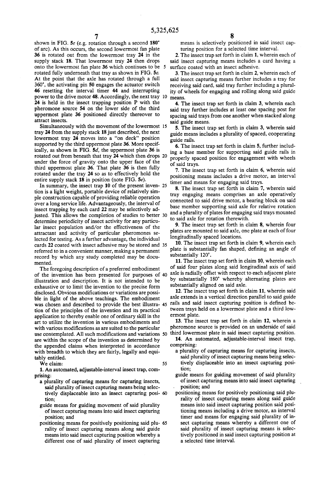shown in FIG. 5e (e.g. rotation through a second 180° of arc). As this occurs, the second lowermost fan plate 36 is rotated out from the lowermost tray 24 in the supply stack 18. That lowermost tray 24 then drops onto the lowermost fan plate 36 which continues to be rotated fully underneath that tray as shown in FIG. 5e. At the point that the axle has rotated through a full 360", the activating pin 50 engages the actuator switch 46 resetting the interval timer 44 and interrupting power to the drive motor 48. Accordingly, the next tray 10 means. 24 is held in the insect trapping position P with the pheromone source 54 on the lower side of the third uppermost plate 36 positioned directly thereover to attract insects.

Simultaneously with the movement of the lowermost tray 24 from the supply stack 18 just described, the next lowermost tray 24 moves into a "on deck" position supported by the third uppermost plate 36. More specif ically, as shown in FIG. 5d, the uppermost plate 36 is rotated out from beneath that tray 24 which then drops 20 under the force of gravity onto the upper face of the third uppermost plate 36. That plate 36 is then fully rotated under the tray 24 so as to effectively hold the entire supply stack 18 in position (note FIG. 5e).

In summary, the insect trap 10 of the present inven- 25 tion is a light weight, portable device of relatively sim ple construction capable of providing reliable operation over a long service life. Advantageously, the interval of insect trapping by each card 22 may be selectively ad justed. This allows the completion of studies to better 30 determine periodicity of insect activity for any particu lar insect population and/or the effectiveness of the attractant and activity of particular pheromones se lected for testing. As a further advantage, the individual cards 22 coated with insect adhesive may be stored and 35 referred to in a convenient manner, making a permanent record by which any study completed may be docu mented.

The foregoing description of a preferred embodiment of the invention has been presented for purposes of illustration and description. It is not intended to be exhaustive or to limit the invention to the precise form disclosed. Obvious modifications or variations are possible in light of the above teachings. The embodiment axe extends in a vertical direction parallel to said guide<br>was chosen and described to provide the best illustra- 45 rails and said insect capturing position is defined b tion of the principles of the invention and its practical application to thereby enable one of ordinary skill in the art to utilize the invention in various embodiments and with various modifications as are suited to the particular use contemplated. All such modifications and variations 50 are within the scope of the invention as determined by the appended claims when interpreted in accordance with breadth to which they are fairly, legally and equi tably entitled.

We claim:

1. An automated, adjustable-interval insect trap, com prising:

- a plurality of capturing means for capturing insects, said plurality of insect capturing means being selec tively displaceable into an insect capturing posi tion;
- guide means for guiding movement of said plurality of insect capturing means into said insect capturing position; and
- positioning means for positively positioning said plu-65 rality of insect capturing means along said guide means into said insect capturing position whereby a different one of said plurality of insect capturing

8 8 means is selectively positioned in said insect capturing position for a selected time interval.

2. The insect trap set forth in claim 1, wherein each of said insect capturing means includes a card having a surface coated with an insect adhesive.

3. The insect trap set forth in claim 2, wherein each of said insect capturing means further includes a tray for receiving said card, said tray further including a plural ity of wheels for engaging and rolling along said guide

4. The insect trap set forth in claim 3, wherein each said tray further includes at least one spacing post for spacing said trays from one another when stacked along said guide means.

5. The insect trap set forth in claim 3, wherein said guide means includes a plurality of spaced, cooperating guide rails.

6. The insect trap set forth in claim 5, further includ ing a base member for supporting said guide rails in properly spaced position for engagement with wheels of said trays.

7. The insect trap set forth in claim 6, wherein said positioning means includes a drive motor, an interval timer and means for engaging said trays.

8. The insect trap set forth in claim 7, wherein said tray engaging means comprises an axle operatively connected to said drive motor, a bearing block on said base member supporting said axle for relative rotation and a plurality of plates for engaging said trays mounted to said axle for rotation therewith.

9. The insect trap set forth in claim 8, wherein four plates are mounted to said axle, one plate at each of four longitudinally spaced locations.

10. The insect trap set forth in claim 9, wherein each plate is substantially fan shaped, defining an angle of substantially 120°.

11. The insect trap set forth in claim 10, wherein each of said four plates along said longitudinal axis of said axle is radially offset with respect to each adjacent plate by substantially 180° whereby alternating plates are substantially aligned on said axle.

12. The insect trap set forth in claim 11, wherein said axle extends in a vertical direction parallel to said guide tween trays held on a lowermost plate and a third low ermost plate.

13. The insect trap set forth in claim 12, wherein a pheromone source is provided on an underside of said third lowermost plate in said insect capturing position.

14. An automated, adjustable-interval insect trap, comprising:

- a plurality of capturing means for capturing insects, said plurality of insect capturing means being selec tively displaceable into an insect capturing posi tion;
- guide means for guiding movement of said plurality of insect capturing means into said insect capturing position; and
- positioning means for positively positioning said plu rality of insect capturing means along said guide means into said insect capturing position said posi tioning means including a drive motor, an interval timer and means for engaging said plurality of in sect capturing means whereby a different one of said plurality of insect capturing means is selec tively positioned in said insect capturing position at a selected time interval.

55